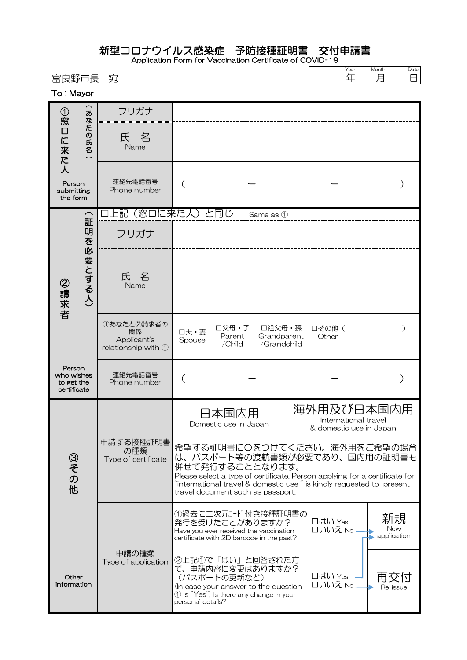## 新型コロナウイルス感染症 予防接種証明書 交付申請書

Application Form for Vaccination Certificate of COVID-19  $\Gamma$ 

| 富良野市長<br>To: Mayor                                |                                          | 宛                                                                |                                                                                                                                                                                                                                                                                                  | Year<br>年                                                     | Month<br>Date<br>月<br>⊟  |
|---------------------------------------------------|------------------------------------------|------------------------------------------------------------------|--------------------------------------------------------------------------------------------------------------------------------------------------------------------------------------------------------------------------------------------------------------------------------------------------|---------------------------------------------------------------|--------------------------|
|                                                   | あ<br>な<br>た<br>$\overline{\omega}$<br>氏名 | フリガナ                                                             |                                                                                                                                                                                                                                                                                                  |                                                               |                          |
| ①窓口に来た人                                           |                                          | 名<br>氏<br>Name                                                   |                                                                                                                                                                                                                                                                                                  |                                                               |                          |
| Person<br>submitting<br>the form                  |                                          | 連絡先電話番号<br>Phone number                                          |                                                                                                                                                                                                                                                                                                  |                                                               |                          |
|                                                   |                                          | 上記(窓口に来た人)と同じ                                                    | Same as 1                                                                                                                                                                                                                                                                                        |                                                               |                          |
| 証<br>明を必要とする人)<br>②請求者                            |                                          | フリガナ                                                             |                                                                                                                                                                                                                                                                                                  |                                                               |                          |
|                                                   |                                          | 氏<br>名<br>Name                                                   |                                                                                                                                                                                                                                                                                                  |                                                               |                          |
|                                                   |                                          | ①あなたと2請求者の<br>関係<br>Applicant's<br>relationship with $\mathbb O$ | 口父母・子<br>口祖父母・孫<br>口夫·妻<br>Grandparent<br>Parent<br>Spouse<br>/Child<br>/Grandchild                                                                                                                                                                                                              | □その他 (<br>Other                                               | ∋                        |
| Person<br>who wishes<br>to get the<br>certificate |                                          | 連絡先電話番号<br>Phone number                                          |                                                                                                                                                                                                                                                                                                  |                                                               |                          |
| ③その<br>他                                          |                                          | 申請する接種証明書<br>の種類<br>Type of certificate                          | 日本国内用<br>Domestic use in Japan                                                                                                                                                                                                                                                                   | 海外用及び日本国内用<br>International travel<br>& domestic use in Japan |                          |
|                                                   |                                          |                                                                  | 希望する証明書に〇をつけてください。海外用をご希望の場合<br>は、パスポート等の渡航書類が必要であり、国内用の証明書も<br>併せて発行することとなります。<br>Please select a type of certificate. Person applying for a certificate for<br>$\tilde{a}$ international travel & domestic use $\tilde{a}$ is kindly requested to present<br>travel document such as passport. |                                                               |                          |
|                                                   |                                          |                                                                  | ①過去に二次元コード付き接種証明書の<br>発行を受けたことがありますか?<br>Have you ever received the vaccination<br>certificate with 2D barcode in the past?                                                                                                                                                                      | □はい Yes<br>□いいえ No -                                          | 新規<br>New<br>application |
| Other<br>information                              |                                          | 申請の種類<br>Type of application                                     | ②上記①で「はい」と回答された方<br>で、申請内容に変更はありますか?<br>(パスポートの更新など)<br>(In case your answer to the question<br>$\textcircled{1}$ is $\textup{``Yes''}$ is there any change in your<br>personal details?                                                                                                         | □はい Yes<br>□いいえ No                                            | 冉交付<br>Re-issue          |